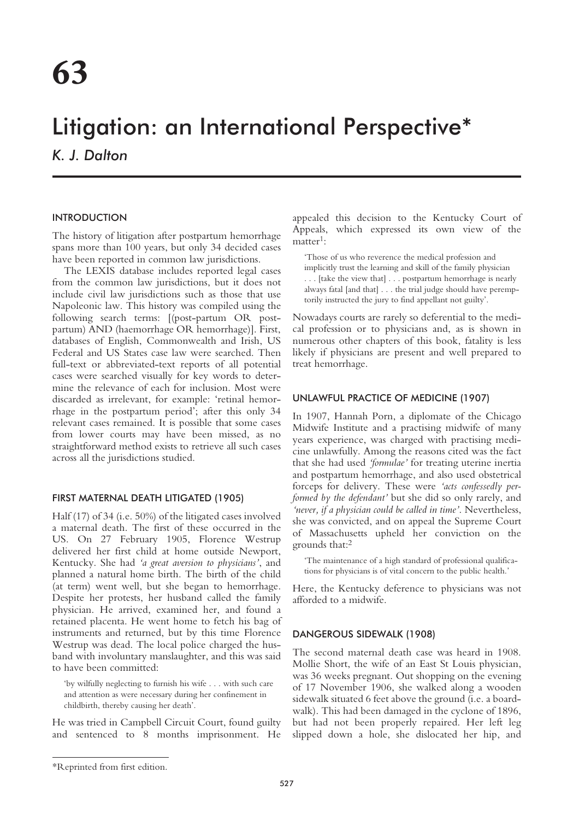# Litigation: an International Perspective\*

*K. J. Dalton*

# INTRODUCTION

The history of litigation after postpartum hemorrhage spans more than 100 years, but only 34 decided cases have been reported in common law jurisdictions.

The LEXIS database includes reported legal cases from the common law jurisdictions, but it does not include civil law jurisdictions such as those that use Napoleonic law. This history was compiled using the following search terms: [(post-partum OR postpartum) AND (haemorrhage OR hemorrhage)]. First, databases of English, Commonwealth and Irish, US Federal and US States case law were searched. Then full-text or abbreviated-text reports of all potential cases were searched visually for key words to determine the relevance of each for inclusion. Most were discarded as irrelevant, for example: 'retinal hemorrhage in the postpartum period'; after this only 34 relevant cases remained. It is possible that some cases from lower courts may have been missed, as no straightforward method exists to retrieve all such cases across all the jurisdictions studied.

## FIRST MATERNAL DEATH LITIGATED (1905)

Half (17) of 34 (i.e. 50%) of the litigated cases involved a maternal death. The first of these occurred in the US. On 27 February 1905, Florence Westrup delivered her first child at home outside Newport, Kentucky. She had *'a great aversion to physicians'*, and planned a natural home birth. The birth of the child (at term) went well, but she began to hemorrhage. Despite her protests, her husband called the family physician. He arrived, examined her, and found a retained placenta. He went home to fetch his bag of instruments and returned, but by this time Florence Westrup was dead. The local police charged the husband with involuntary manslaughter, and this was said to have been committed:

'by wilfully neglecting to furnish his wife . . . with such care and attention as were necessary during her confinement in childbirth, thereby causing her death'.

He was tried in Campbell Circuit Court, found guilty and sentenced to 8 months imprisonment. He appealed this decision to the Kentucky Court of Appeals, which expressed its own view of the matter<sup>1</sup>:

'Those of us who reverence the medical profession and implicitly trust the learning and skill of the family physician . . . [take the view that] . . . postpartum hemorrhage is nearly always fatal [and that] . . . the trial judge should have peremptorily instructed the jury to find appellant not guilty'.

Nowadays courts are rarely so deferential to the medical profession or to physicians and, as is shown in numerous other chapters of this book, fatality is less likely if physicians are present and well prepared to treat hemorrhage.

## UNLAWFUL PRACTICE OF MEDICINE (1907)

In 1907, Hannah Porn, a diplomate of the Chicago Midwife Institute and a practising midwife of many years experience, was charged with practising medicine unlawfully. Among the reasons cited was the fact that she had used *'formulae'* for treating uterine inertia and postpartum hemorrhage, and also used obstetrical forceps for delivery. These were *'acts confessedly performed by the defendant'* but she did so only rarely, and *'never, if a physician could be called in time'*. Nevertheless, she was convicted, and on appeal the Supreme Court of Massachusetts upheld her conviction on the grounds that:2

'The maintenance of a high standard of professional qualifications for physicians is of vital concern to the public health.'

Here, the Kentucky deference to physicians was not afforded to a midwife.

## DANGEROUS SIDEWALK (1908)

The second maternal death case was heard in 1908. Mollie Short, the wife of an East St Louis physician, was 36 weeks pregnant. Out shopping on the evening of 17 November 1906, she walked along a wooden sidewalk situated 6 feet above the ground (i.e. a boardwalk). This had been damaged in the cyclone of 1896, but had not been properly repaired. Her left leg slipped down a hole, she dislocated her hip, and

<sup>\*</sup>Reprinted from first edition.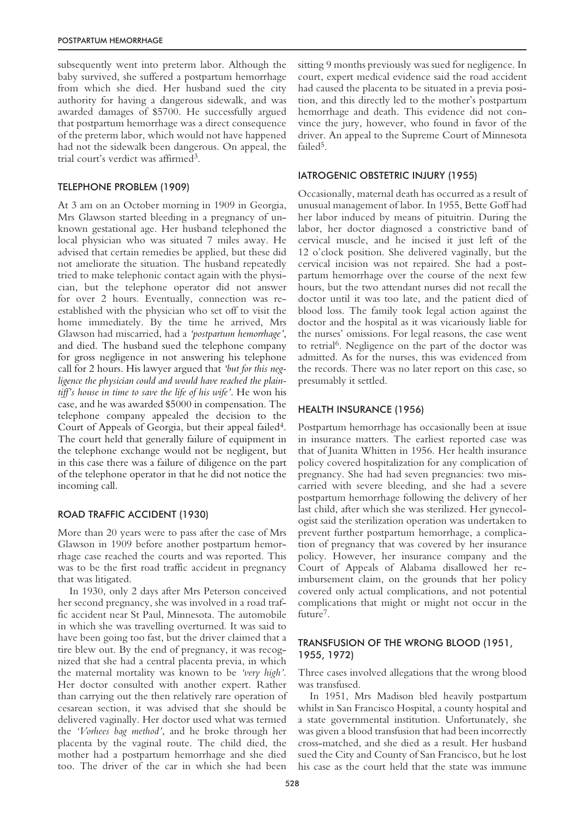subsequently went into preterm labor. Although the baby survived, she suffered a postpartum hemorrhage from which she died. Her husband sued the city authority for having a dangerous sidewalk, and was awarded damages of \$5700. He successfully argued that postpartum hemorrhage was a direct consequence of the preterm labor, which would not have happened had not the sidewalk been dangerous. On appeal, the trial court's verdict was affirmed3.

# TELEPHONE PROBLEM (1909)

At 3 am on an October morning in 1909 in Georgia, Mrs Glawson started bleeding in a pregnancy of unknown gestational age. Her husband telephoned the local physician who was situated 7 miles away. He advised that certain remedies be applied, but these did not ameliorate the situation. The husband repeatedly tried to make telephonic contact again with the physician, but the telephone operator did not answer for over 2 hours. Eventually, connection was reestablished with the physician who set off to visit the home immediately. By the time he arrived, Mrs Glawson had miscarried, had a *'postpartum hemorrhage'*, and died. The husband sued the telephone company for gross negligence in not answering his telephone call for 2 hours. His lawyer argued that *'but for this negligence the physician could and would have reached the plaintiff's house in time to save the life of his wife'*. He won his case, and he was awarded \$5000 in compensation. The telephone company appealed the decision to the Court of Appeals of Georgia, but their appeal failed<sup>4</sup>. The court held that generally failure of equipment in the telephone exchange would not be negligent, but in this case there was a failure of diligence on the part of the telephone operator in that he did not notice the incoming call.

# ROAD TRAFFIC ACCIDENT (1930)

More than 20 years were to pass after the case of Mrs Glawson in 1909 before another postpartum hemorrhage case reached the courts and was reported. This was to be the first road traffic accident in pregnancy that was litigated.

In 1930, only 2 days after Mrs Peterson conceived her second pregnancy, she was involved in a road traffic accident near St Paul, Minnesota. The automobile in which she was travelling overturned. It was said to have been going too fast, but the driver claimed that a tire blew out. By the end of pregnancy, it was recognized that she had a central placenta previa, in which the maternal mortality was known to be *'very high'*. Her doctor consulted with another expert. Rather than carrying out the then relatively rare operation of cesarean section, it was advised that she should be delivered vaginally. Her doctor used what was termed the *'Vorhees bag method'*, and he broke through her placenta by the vaginal route. The child died, the mother had a postpartum hemorrhage and she died too. The driver of the car in which she had been

sitting 9 months previously was sued for negligence. In court, expert medical evidence said the road accident had caused the placenta to be situated in a previa position, and this directly led to the mother's postpartum hemorrhage and death. This evidence did not convince the jury, however, who found in favor of the driver. An appeal to the Supreme Court of Minnesota failed<sup>5</sup>.

# IATROGENIC OBSTETRIC INJURY (1955)

Occasionally, maternal death has occurred as a result of unusual management of labor. In 1955, Bette Goff had her labor induced by means of pituitrin. During the labor, her doctor diagnosed a constrictive band of cervical muscle, and he incised it just left of the 12 o'clock position. She delivered vaginally, but the cervical incision was not repaired. She had a postpartum hemorrhage over the course of the next few hours, but the two attendant nurses did not recall the doctor until it was too late, and the patient died of blood loss. The family took legal action against the doctor and the hospital as it was vicariously liable for the nurses' omissions. For legal reasons, the case went to retrial<sup>6</sup>. Negligence on the part of the doctor was admitted. As for the nurses, this was evidenced from the records. There was no later report on this case, so presumably it settled.

# HEALTH INSURANCE (1956)

Postpartum hemorrhage has occasionally been at issue in insurance matters. The earliest reported case was that of Juanita Whitten in 1956. Her health insurance policy covered hospitalization for any complication of pregnancy. She had had seven pregnancies: two miscarried with severe bleeding, and she had a severe postpartum hemorrhage following the delivery of her last child, after which she was sterilized. Her gynecologist said the sterilization operation was undertaken to prevent further postpartum hemorrhage, a complication of pregnancy that was covered by her insurance policy. However, her insurance company and the Court of Appeals of Alabama disallowed her reimbursement claim, on the grounds that her policy covered only actual complications, and not potential complications that might or might not occur in the future<sup>7</sup>.

# TRANSFUSION OF THE WRONG BLOOD (1951, 1955, 1972)

Three cases involved allegations that the wrong blood was transfused.

In 1951, Mrs Madison bled heavily postpartum whilst in San Francisco Hospital, a county hospital and a state governmental institution. Unfortunately, she was given a blood transfusion that had been incorrectly cross-matched, and she died as a result. Her husband sued the City and County of San Francisco, but he lost his case as the court held that the state was immune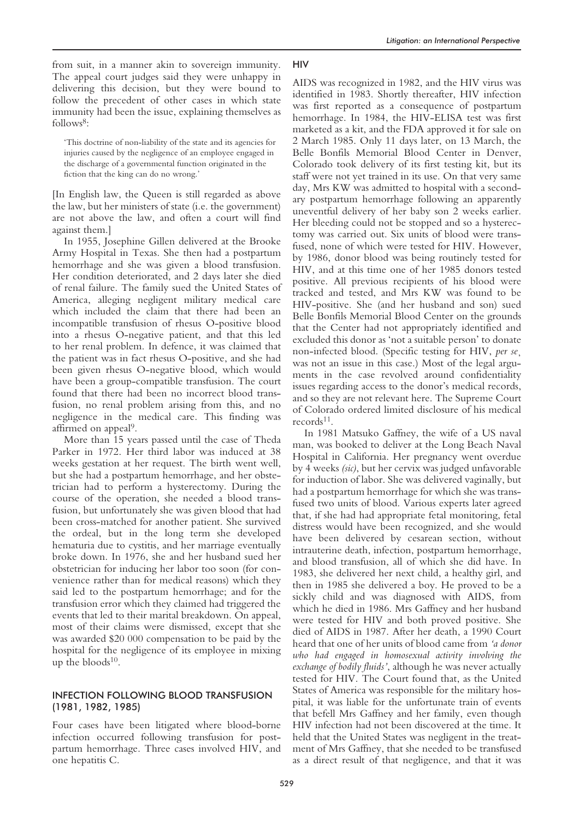from suit, in a manner akin to sovereign immunity. The appeal court judges said they were unhappy in delivering this decision, but they were bound to follow the precedent of other cases in which state immunity had been the issue, explaining themselves as follows<sup>8</sup>:

'This doctrine of non-liability of the state and its agencies for injuries caused by the negligence of an employee engaged in the discharge of a governmental function originated in the fiction that the king can do no wrong.'

[In English law, the Queen is still regarded as above the law, but her ministers of state (i.e. the government) are not above the law, and often a court will find against them.]

In 1955, Josephine Gillen delivered at the Brooke Army Hospital in Texas. She then had a postpartum hemorrhage and she was given a blood transfusion. Her condition deteriorated, and 2 days later she died of renal failure. The family sued the United States of America, alleging negligent military medical care which included the claim that there had been an incompatible transfusion of rhesus O-positive blood into a rhesus O-negative patient, and that this led to her renal problem. In defence, it was claimed that the patient was in fact rhesus O-positive, and she had been given rhesus O-negative blood, which would have been a group-compatible transfusion. The court found that there had been no incorrect blood transfusion, no renal problem arising from this, and no negligence in the medical care. This finding was affirmed on appeal9.

More than 15 years passed until the case of Theda Parker in 1972. Her third labor was induced at 38 weeks gestation at her request. The birth went well, but she had a postpartum hemorrhage, and her obstetrician had to perform a hysterectomy. During the course of the operation, she needed a blood transfusion, but unfortunately she was given blood that had been cross-matched for another patient. She survived the ordeal, but in the long term she developed hematuria due to cystitis, and her marriage eventually broke down. In 1976, she and her husband sued her obstetrician for inducing her labor too soon (for convenience rather than for medical reasons) which they said led to the postpartum hemorrhage; and for the transfusion error which they claimed had triggered the events that led to their marital breakdown. On appeal, most of their claims were dismissed, except that she was awarded \$20 000 compensation to be paid by the hospital for the negligence of its employee in mixing up the bloods $10$ .

# INFECTION FOLLOWING BLOOD TRANSFUSION (1981, 1982, 1985)

Four cases have been litigated where blood-borne infection occurred following transfusion for postpartum hemorrhage. Three cases involved HIV, and one hepatitis C.

# **HIV**

AIDS was recognized in 1982, and the HIV virus was identified in 1983. Shortly thereafter, HIV infection was first reported as a consequence of postpartum hemorrhage. In 1984, the HIV-ELISA test was first marketed as a kit, and the FDA approved it for sale on 2 March 1985. Only 11 days later, on 13 March, the Belle Bonfils Memorial Blood Center in Denver, Colorado took delivery of its first testing kit, but its staff were not yet trained in its use. On that very same day, Mrs KW was admitted to hospital with a secondary postpartum hemorrhage following an apparently uneventful delivery of her baby son 2 weeks earlier. Her bleeding could not be stopped and so a hysterectomy was carried out. Six units of blood were transfused, none of which were tested for HIV. However, by 1986, donor blood was being routinely tested for HIV, and at this time one of her 1985 donors tested positive. All previous recipients of his blood were tracked and tested, and Mrs KW was found to be HIV-positive. She (and her husband and son) sued Belle Bonfils Memorial Blood Center on the grounds that the Center had not appropriately identified and excluded this donor as 'not a suitable person' to donate non-infected blood. (Specific testing for HIV, *per se*¸ was not an issue in this case.) Most of the legal arguments in the case revolved around confidentiality issues regarding access to the donor's medical records, and so they are not relevant here. The Supreme Court of Colorado ordered limited disclosure of his medical  $records<sup>11</sup>$ .

In 1981 Matsuko Gaffney, the wife of a US naval man, was booked to deliver at the Long Beach Naval Hospital in California. Her pregnancy went overdue by 4 weeks *(sic)*, but her cervix was judged unfavorable for induction of labor. She was delivered vaginally, but had a postpartum hemorrhage for which she was transfused two units of blood. Various experts later agreed that, if she had had appropriate fetal monitoring, fetal distress would have been recognized, and she would have been delivered by cesarean section, without intrauterine death, infection, postpartum hemorrhage, and blood transfusion, all of which she did have. In 1983, she delivered her next child, a healthy girl, and then in 1985 she delivered a boy. He proved to be a sickly child and was diagnosed with AIDS, from which he died in 1986. Mrs Gaffney and her husband were tested for HIV and both proved positive. She died of AIDS in 1987. After her death, a 1990 Court heard that one of her units of blood came from *'a donor who had engaged in homosexual activity involving the exchange of bodily fluids'*, although he was never actually tested for HIV. The Court found that, as the United States of America was responsible for the military hospital, it was liable for the unfortunate train of events that befell Mrs Gaffney and her family, even though HIV infection had not been discovered at the time. It held that the United States was negligent in the treatment of Mrs Gaffney, that she needed to be transfused as a direct result of that negligence, and that it was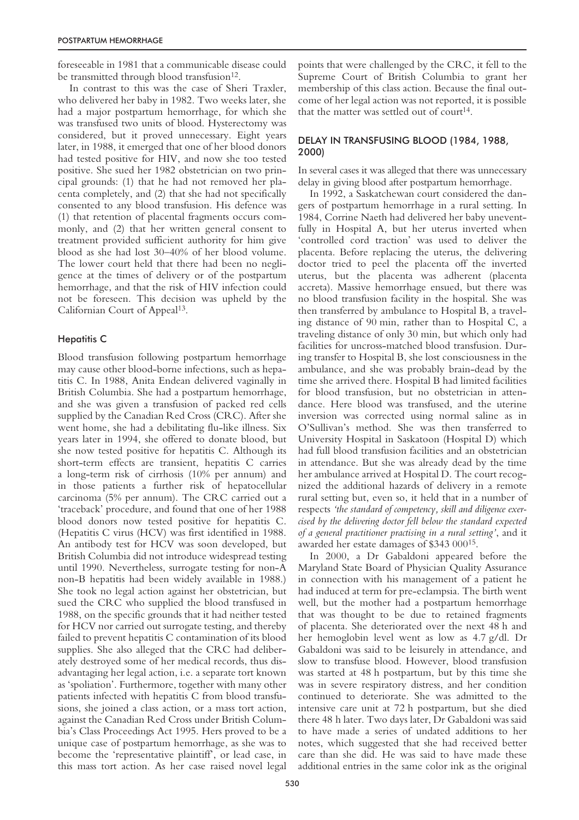foreseeable in 1981 that a communicable disease could be transmitted through blood transfusion<sup>12</sup>.

In contrast to this was the case of Sheri Traxler, who delivered her baby in 1982. Two weeks later, she had a major postpartum hemorrhage, for which she was transfused two units of blood. Hysterectomy was considered, but it proved unnecessary. Eight years later, in 1988, it emerged that one of her blood donors had tested positive for HIV, and now she too tested positive. She sued her 1982 obstetrician on two principal grounds: (1) that he had not removed her placenta completely, and (2) that she had not specifically consented to any blood transfusion. His defence was (1) that retention of placental fragments occurs commonly, and (2) that her written general consent to treatment provided sufficient authority for him give blood as she had lost 30–40% of her blood volume. The lower court held that there had been no negligence at the times of delivery or of the postpartum hemorrhage, and that the risk of HIV infection could not be foreseen. This decision was upheld by the Californian Court of Appeal<sup>13</sup>.

#### Hepatitis C

Blood transfusion following postpartum hemorrhage may cause other blood-borne infections, such as hepatitis C. In 1988, Anita Endean delivered vaginally in British Columbia. She had a postpartum hemorrhage, and she was given a transfusion of packed red cells supplied by the Canadian Red Cross (CRC). After she went home, she had a debilitating flu-like illness. Six years later in 1994, she offered to donate blood, but she now tested positive for hepatitis C. Although its short-term effects are transient, hepatitis C carries a long-term risk of cirrhosis (10% per annum) and in those patients a further risk of hepatocellular carcinoma (5% per annum). The CRC carried out a 'traceback' procedure, and found that one of her 1988 blood donors now tested positive for hepatitis C. (Hepatitis C virus (HCV) was first identified in 1988. An antibody test for HCV was soon developed, but British Columbia did not introduce widespread testing until 1990. Nevertheless, surrogate testing for non-A non-B hepatitis had been widely available in 1988.) She took no legal action against her obstetrician, but sued the CRC who supplied the blood transfused in 1988, on the specific grounds that it had neither tested for HCV nor carried out surrogate testing, and thereby failed to prevent hepatitis C contamination of its blood supplies. She also alleged that the CRC had deliberately destroyed some of her medical records, thus disadvantaging her legal action, i.e. a separate tort known as 'spoliation'. Furthermore, together with many other patients infected with hepatitis C from blood transfusions, she joined a class action, or a mass tort action, against the Canadian Red Cross under British Columbia's Class Proceedings Act 1995. Hers proved to be a unique case of postpartum hemorrhage, as she was to become the 'representative plaintiff', or lead case, in this mass tort action. As her case raised novel legal points that were challenged by the CRC, it fell to the Supreme Court of British Columbia to grant her membership of this class action. Because the final outcome of her legal action was not reported, it is possible that the matter was settled out of  $\text{count}^{14}$ .

# DELAY IN TRANSFUSING BLOOD (1984, 1988, 2000)

In several cases it was alleged that there was unnecessary delay in giving blood after postpartum hemorrhage.

In 1992, a Saskatchewan court considered the dangers of postpartum hemorrhage in a rural setting. In 1984, Corrine Naeth had delivered her baby uneventfully in Hospital A, but her uterus inverted when 'controlled cord traction' was used to deliver the placenta. Before replacing the uterus, the delivering doctor tried to peel the placenta off the inverted uterus, but the placenta was adherent (placenta accreta). Massive hemorrhage ensued, but there was no blood transfusion facility in the hospital. She was then transferred by ambulance to Hospital B, a traveling distance of 90 min, rather than to Hospital C, a traveling distance of only 30 min, but which only had facilities for uncross-matched blood transfusion. During transfer to Hospital B, she lost consciousness in the ambulance, and she was probably brain-dead by the time she arrived there. Hospital B had limited facilities for blood transfusion, but no obstetrician in attendance. Here blood was transfused, and the uterine inversion was corrected using normal saline as in O'Sullivan's method. She was then transferred to University Hospital in Saskatoon (Hospital D) which had full blood transfusion facilities and an obstetrician in attendance. But she was already dead by the time her ambulance arrived at Hospital D. The court recognized the additional hazards of delivery in a remote rural setting but, even so, it held that in a number of respects *'the standard of competency, skill and diligence exercised by the delivering doctor fell below the standard expected of a general practitioner practising in a rural setting'*, and it awarded her estate damages of \$343 00015.

In 2000, a Dr Gabaldoni appeared before the Maryland State Board of Physician Quality Assurance in connection with his management of a patient he had induced at term for pre-eclampsia. The birth went well, but the mother had a postpartum hemorrhage that was thought to be due to retained fragments of placenta. She deteriorated over the next 48 h and her hemoglobin level went as low as 4.7 g/dl. Dr Gabaldoni was said to be leisurely in attendance, and slow to transfuse blood. However, blood transfusion was started at 48 h postpartum, but by this time she was in severe respiratory distress, and her condition continued to deteriorate. She was admitted to the intensive care unit at 72 h postpartum, but she died there 48 h later. Two days later, Dr Gabaldoni was said to have made a series of undated additions to her notes, which suggested that she had received better care than she did. He was said to have made these additional entries in the same color ink as the original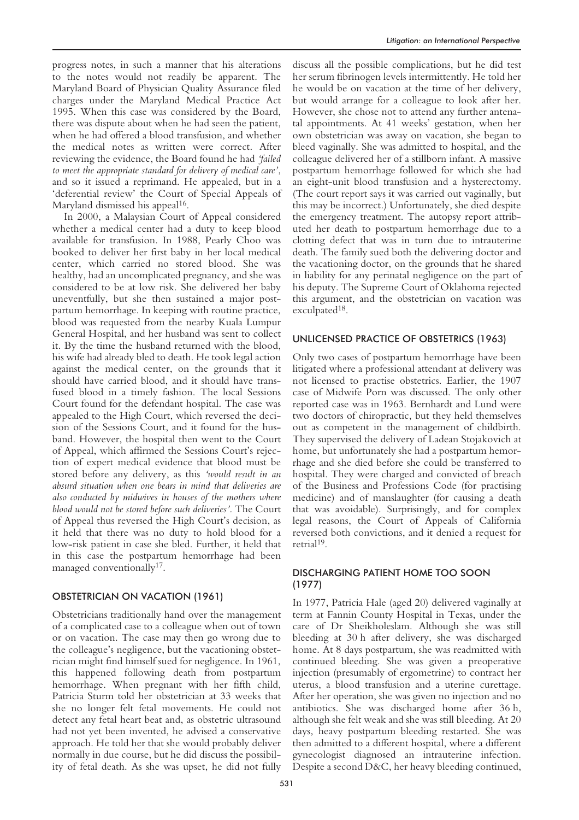progress notes, in such a manner that his alterations to the notes would not readily be apparent. The Maryland Board of Physician Quality Assurance filed charges under the Maryland Medical Practice Act 1995. When this case was considered by the Board, there was dispute about when he had seen the patient, when he had offered a blood transfusion, and whether the medical notes as written were correct. After reviewing the evidence, the Board found he had *'failed to meet the appropriate standard for delivery of medical care'*, and so it issued a reprimand. He appealed, but in a 'deferential review' the Court of Special Appeals of Maryland dismissed his appeal<sup>16</sup>.

In 2000, a Malaysian Court of Appeal considered whether a medical center had a duty to keep blood available for transfusion. In 1988, Pearly Choo was booked to deliver her first baby in her local medical center, which carried no stored blood. She was healthy, had an uncomplicated pregnancy, and she was considered to be at low risk. She delivered her baby uneventfully, but she then sustained a major postpartum hemorrhage. In keeping with routine practice, blood was requested from the nearby Kuala Lumpur General Hospital, and her husband was sent to collect it. By the time the husband returned with the blood, his wife had already bled to death. He took legal action against the medical center, on the grounds that it should have carried blood, and it should have transfused blood in a timely fashion. The local Sessions Court found for the defendant hospital. The case was appealed to the High Court, which reversed the decision of the Sessions Court, and it found for the husband. However, the hospital then went to the Court of Appeal, which affirmed the Sessions Court's rejection of expert medical evidence that blood must be stored before any delivery, as this *'would result in an absurd situation when one bears in mind that deliveries are also conducted by midwives in houses of the mothers where blood would not be stored before such deliveries'*. The Court of Appeal thus reversed the High Court's decision, as it held that there was no duty to hold blood for a low-risk patient in case she bled. Further, it held that in this case the postpartum hemorrhage had been managed conventionally<sup>17</sup>.

## OBSTETRICIAN ON VACATION (1961)

Obstetricians traditionally hand over the management of a complicated case to a colleague when out of town or on vacation. The case may then go wrong due to the colleague's negligence, but the vacationing obstetrician might find himself sued for negligence. In 1961, this happened following death from postpartum hemorrhage. When pregnant with her fifth child, Patricia Sturm told her obstetrician at 33 weeks that she no longer felt fetal movements. He could not detect any fetal heart beat and, as obstetric ultrasound had not yet been invented, he advised a conservative approach. He told her that she would probably deliver normally in due course, but he did discuss the possibility of fetal death. As she was upset, he did not fully discuss all the possible complications, but he did test her serum fibrinogen levels intermittently. He told her he would be on vacation at the time of her delivery, but would arrange for a colleague to look after her. However, she chose not to attend any further antenatal appointments. At 41 weeks' gestation, when her own obstetrician was away on vacation, she began to bleed vaginally. She was admitted to hospital, and the colleague delivered her of a stillborn infant. A massive postpartum hemorrhage followed for which she had an eight-unit blood transfusion and a hysterectomy. (The court report says it was carried out vaginally, but this may be incorrect.) Unfortunately, she died despite the emergency treatment. The autopsy report attributed her death to postpartum hemorrhage due to a clotting defect that was in turn due to intrauterine death. The family sued both the delivering doctor and the vacationing doctor, on the grounds that he shared in liability for any perinatal negligence on the part of his deputy. The Supreme Court of Oklahoma rejected this argument, and the obstetrician on vacation was exculpated<sup>18</sup>.

## UNLICENSED PRACTICE OF OBSTETRICS (1963)

Only two cases of postpartum hemorrhage have been litigated where a professional attendant at delivery was not licensed to practise obstetrics. Earlier, the 1907 case of Midwife Porn was discussed. The only other reported case was in 1963. Bernhardt and Lund were two doctors of chiropractic, but they held themselves out as competent in the management of childbirth. They supervised the delivery of Ladean Stojakovich at home, but unfortunately she had a postpartum hemorrhage and she died before she could be transferred to hospital. They were charged and convicted of breach of the Business and Professions Code (for practising medicine) and of manslaughter (for causing a death that was avoidable). Surprisingly, and for complex legal reasons, the Court of Appeals of California reversed both convictions, and it denied a request for retrial19.

# DISCHARGING PATIENT HOME TOO SOON (1977)

In 1977, Patricia Hale (aged 20) delivered vaginally at term at Fannin County Hospital in Texas, under the care of Dr Sheikholeslam. Although she was still bleeding at 30 h after delivery, she was discharged home. At 8 days postpartum, she was readmitted with continued bleeding. She was given a preoperative injection (presumably of ergometrine) to contract her uterus, a blood transfusion and a uterine curettage. After her operation, she was given no injection and no antibiotics. She was discharged home after 36 h, although she felt weak and she was still bleeding. At 20 days, heavy postpartum bleeding restarted. She was then admitted to a different hospital, where a different gynecologist diagnosed an intrauterine infection. Despite a second D&C, her heavy bleeding continued,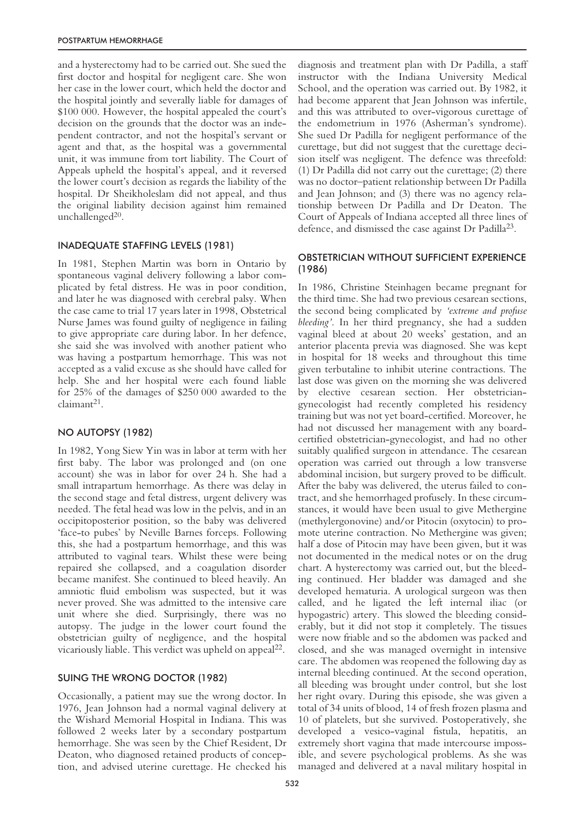and a hysterectomy had to be carried out. She sued the first doctor and hospital for negligent care. She won her case in the lower court, which held the doctor and the hospital jointly and severally liable for damages of \$100 000. However, the hospital appealed the court's decision on the grounds that the doctor was an independent contractor, and not the hospital's servant or agent and that, as the hospital was a governmental unit, it was immune from tort liability. The Court of Appeals upheld the hospital's appeal, and it reversed the lower court's decision as regards the liability of the hospital. Dr Sheikholeslam did not appeal, and thus the original liability decision against him remained unchallenged20.

#### INADEQUATE STAFFING LEVELS (1981)

In 1981, Stephen Martin was born in Ontario by spontaneous vaginal delivery following a labor complicated by fetal distress. He was in poor condition, and later he was diagnosed with cerebral palsy. When the case came to trial 17 years later in 1998, Obstetrical Nurse James was found guilty of negligence in failing to give appropriate care during labor. In her defence, she said she was involved with another patient who was having a postpartum hemorrhage. This was not accepted as a valid excuse as she should have called for help. She and her hospital were each found liable for 25% of the damages of \$250 000 awarded to the claimant21.

## NO AUTOPSY (1982)

In 1982, Yong Siew Yin was in labor at term with her first baby. The labor was prolonged and (on one account) she was in labor for over 24 h. She had a small intrapartum hemorrhage. As there was delay in the second stage and fetal distress, urgent delivery was needed. The fetal head was low in the pelvis, and in an occipitoposterior position, so the baby was delivered 'face-to pubes' by Neville Barnes forceps. Following this, she had a postpartum hemorrhage, and this was attributed to vaginal tears. Whilst these were being repaired she collapsed, and a coagulation disorder became manifest. She continued to bleed heavily. An amniotic fluid embolism was suspected, but it was never proved. She was admitted to the intensive care unit where she died. Surprisingly, there was no autopsy. The judge in the lower court found the obstetrician guilty of negligence, and the hospital vicariously liable. This verdict was upheld on appeal<sup>22</sup>.

## SUING THE WRONG DOCTOR (1982)

Occasionally, a patient may sue the wrong doctor. In 1976, Jean Johnson had a normal vaginal delivery at the Wishard Memorial Hospital in Indiana. This was followed 2 weeks later by a secondary postpartum hemorrhage. She was seen by the Chief Resident, Dr Deaton, who diagnosed retained products of conception, and advised uterine curettage. He checked his diagnosis and treatment plan with Dr Padilla, a staff instructor with the Indiana University Medical School, and the operation was carried out. By 1982, it had become apparent that Jean Johnson was infertile, and this was attributed to over-vigorous curettage of the endometrium in 1976 (Asherman's syndrome). She sued Dr Padilla for negligent performance of the curettage, but did not suggest that the curettage decision itself was negligent. The defence was threefold: (1) Dr Padilla did not carry out the curettage; (2) there was no doctor–patient relationship between Dr Padilla and Jean Johnson; and (3) there was no agency relationship between Dr Padilla and Dr Deaton. The Court of Appeals of Indiana accepted all three lines of defence, and dismissed the case against Dr Padilla23.

# OBSTETRICIAN WITHOUT SUFFICIENT EXPERIENCE (1986)

In 1986, Christine Steinhagen became pregnant for the third time. She had two previous cesarean sections, the second being complicated by *'extreme and profuse bleeding'*. In her third pregnancy, she had a sudden vaginal bleed at about 20 weeks' gestation, and an anterior placenta previa was diagnosed. She was kept in hospital for 18 weeks and throughout this time given terbutaline to inhibit uterine contractions. The last dose was given on the morning she was delivered by elective cesarean section. Her obstetriciangynecologist had recently completed his residency training but was not yet board-certified. Moreover, he had not discussed her management with any boardcertified obstetrician-gynecologist, and had no other suitably qualified surgeon in attendance. The cesarean operation was carried out through a low transverse abdominal incision, but surgery proved to be difficult. After the baby was delivered, the uterus failed to contract, and she hemorrhaged profusely. In these circumstances, it would have been usual to give Methergine (methylergonovine) and/or Pitocin (oxytocin) to promote uterine contraction. No Methergine was given; half a dose of Pitocin may have been given, but it was not documented in the medical notes or on the drug chart. A hysterectomy was carried out, but the bleeding continued. Her bladder was damaged and she developed hematuria. A urological surgeon was then called, and he ligated the left internal iliac (or hypogastric) artery. This slowed the bleeding considerably, but it did not stop it completely. The tissues were now friable and so the abdomen was packed and closed, and she was managed overnight in intensive care. The abdomen was reopened the following day as internal bleeding continued. At the second operation, all bleeding was brought under control, but she lost her right ovary. During this episode, she was given a total of 34 units of blood, 14 of fresh frozen plasma and 10 of platelets, but she survived. Postoperatively, she developed a vesico-vaginal fistula, hepatitis, an extremely short vagina that made intercourse impossible, and severe psychological problems. As she was managed and delivered at a naval military hospital in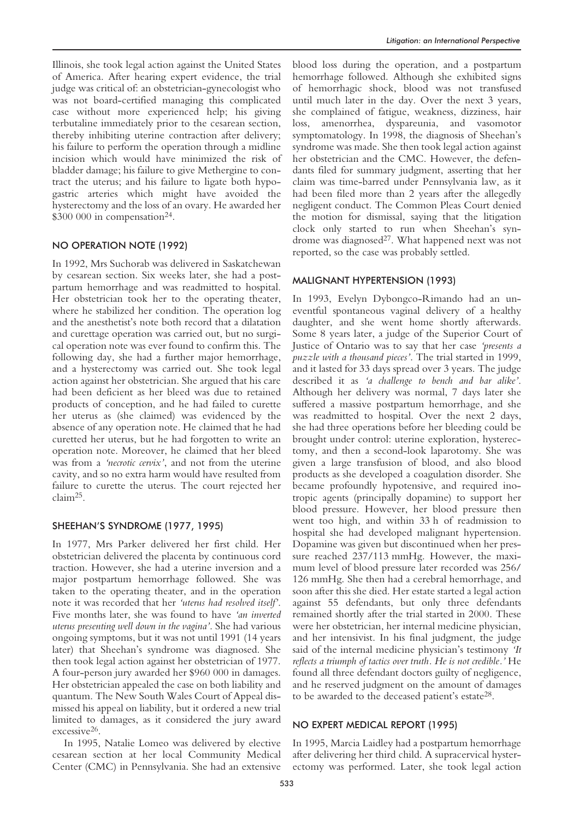Illinois, she took legal action against the United States of America. After hearing expert evidence, the trial judge was critical of: an obstetrician-gynecologist who was not board-certified managing this complicated case without more experienced help; his giving terbutaline immediately prior to the cesarean section, thereby inhibiting uterine contraction after delivery; his failure to perform the operation through a midline incision which would have minimized the risk of bladder damage; his failure to give Methergine to contract the uterus; and his failure to ligate both hypogastric arteries which might have avoided the hysterectomy and the loss of an ovary. He awarded her \$300 000 in compensation<sup>24</sup>.

#### NO OPERATION NOTE (1992)

In 1992, Mrs Suchorab was delivered in Saskatchewan by cesarean section. Six weeks later, she had a postpartum hemorrhage and was readmitted to hospital. Her obstetrician took her to the operating theater, where he stabilized her condition. The operation log and the anesthetist's note both record that a dilatation and curettage operation was carried out, but no surgical operation note was ever found to confirm this. The following day, she had a further major hemorrhage, and a hysterectomy was carried out. She took legal action against her obstetrician. She argued that his care had been deficient as her bleed was due to retained products of conception, and he had failed to curette her uterus as (she claimed) was evidenced by the absence of any operation note. He claimed that he had curetted her uterus, but he had forgotten to write an operation note. Moreover, he claimed that her bleed was from a *'necrotic cervix'*, and not from the uterine cavity, and so no extra harm would have resulted from failure to curette the uterus. The court rejected her claim25.

## SHEEHAN'S SYNDROME (1977, 1995)

In 1977, Mrs Parker delivered her first child. Her obstetrician delivered the placenta by continuous cord traction. However, she had a uterine inversion and a major postpartum hemorrhage followed. She was taken to the operating theater, and in the operation note it was recorded that her *'uterus had resolved itself'*. Five months later, she was found to have *'an inverted uterus presenting well down in the vagina'*. She had various ongoing symptoms, but it was not until 1991 (14 years later) that Sheehan's syndrome was diagnosed. She then took legal action against her obstetrician of 1977. A four-person jury awarded her \$960 000 in damages. Her obstetrician appealed the case on both liability and quantum. The New South Wales Court of Appeal dismissed his appeal on liability, but it ordered a new trial limited to damages, as it considered the jury award excessive<sup>26</sup>.

In 1995, Natalie Lomeo was delivered by elective cesarean section at her local Community Medical Center (CMC) in Pennsylvania. She had an extensive

blood loss during the operation, and a postpartum hemorrhage followed. Although she exhibited signs of hemorrhagic shock, blood was not transfused until much later in the day. Over the next 3 years, she complained of fatigue, weakness, dizziness, hair loss, amenorrhea, dyspareunia, and vasomotor symptomatology. In 1998, the diagnosis of Sheehan's syndrome was made. She then took legal action against her obstetrician and the CMC. However, the defendants filed for summary judgment, asserting that her claim was time-barred under Pennsylvania law, as it had been filed more than 2 years after the allegedly negligent conduct. The Common Pleas Court denied the motion for dismissal, saying that the litigation clock only started to run when Sheehan's syndrome was diagnosed<sup>27</sup>. What happened next was not reported, so the case was probably settled.

#### MALIGNANT HYPERTENSION (1993)

In 1993, Evelyn Dybongco-Rimando had an uneventful spontaneous vaginal delivery of a healthy daughter, and she went home shortly afterwards. Some 8 years later, a judge of the Superior Court of Justice of Ontario was to say that her case *'presents a puzzle with a thousand pieces'*. The trial started in 1999, and it lasted for 33 days spread over 3 years. The judge described it as *'a challenge to bench and bar alike'*. Although her delivery was normal, 7 days later she suffered a massive postpartum hemorrhage, and she was readmitted to hospital. Over the next 2 days, she had three operations before her bleeding could be brought under control: uterine exploration, hysterectomy, and then a second-look laparotomy. She was given a large transfusion of blood, and also blood products as she developed a coagulation disorder. She became profoundly hypotensive, and required inotropic agents (principally dopamine) to support her blood pressure. However, her blood pressure then went too high, and within 33 h of readmission to hospital she had developed malignant hypertension. Dopamine was given but discontinued when her pressure reached 237/113 mmHg. However, the maximum level of blood pressure later recorded was 256/ 126 mmHg. She then had a cerebral hemorrhage, and soon after this she died. Her estate started a legal action against 55 defendants, but only three defendants remained shortly after the trial started in 2000. These were her obstetrician, her internal medicine physician, and her intensivist. In his final judgment, the judge said of the internal medicine physician's testimony *'It reflects a triumph of tactics over truth. He is not credible.'* He found all three defendant doctors guilty of negligence, and he reserved judgment on the amount of damages to be awarded to the deceased patient's estate28.

#### NO EXPERT MEDICAL REPORT (1995)

In 1995, Marcia Laidley had a postpartum hemorrhage after delivering her third child. A supracervical hysterectomy was performed. Later, she took legal action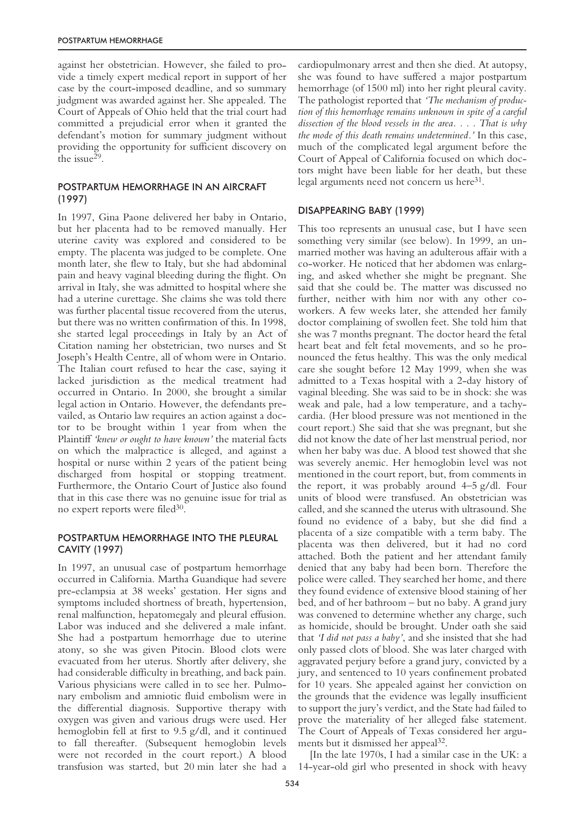against her obstetrician. However, she failed to provide a timely expert medical report in support of her case by the court-imposed deadline, and so summary judgment was awarded against her. She appealed. The Court of Appeals of Ohio held that the trial court had committed a prejudicial error when it granted the defendant's motion for summary judgment without providing the opportunity for sufficient discovery on the issue29.

# POSTPARTUM HEMORRHAGE IN AN AIRCRAFT (1997)

In 1997, Gina Paone delivered her baby in Ontario, but her placenta had to be removed manually. Her uterine cavity was explored and considered to be empty. The placenta was judged to be complete. One month later, she flew to Italy, but she had abdominal pain and heavy vaginal bleeding during the flight. On arrival in Italy, she was admitted to hospital where she had a uterine curettage. She claims she was told there was further placental tissue recovered from the uterus, but there was no written confirmation of this. In 1998, she started legal proceedings in Italy by an Act of Citation naming her obstetrician, two nurses and St Joseph's Health Centre, all of whom were in Ontario. The Italian court refused to hear the case, saying it lacked jurisdiction as the medical treatment had occurred in Ontario. In 2000, she brought a similar legal action in Ontario. However, the defendants prevailed, as Ontario law requires an action against a doctor to be brought within 1 year from when the Plaintiff *'knew or ought to have known'* the material facts on which the malpractice is alleged, and against a hospital or nurse within 2 years of the patient being discharged from hospital or stopping treatment. Furthermore, the Ontario Court of Justice also found that in this case there was no genuine issue for trial as no expert reports were filed<sup>30</sup>.

# POSTPARTUM HEMORRHAGE INTO THE PLEURAL CAVITY (1997)

In 1997, an unusual case of postpartum hemorrhage occurred in California. Martha Guandique had severe pre-eclampsia at 38 weeks' gestation. Her signs and symptoms included shortness of breath, hypertension, renal malfunction, hepatomegaly and pleural effusion. Labor was induced and she delivered a male infant. She had a postpartum hemorrhage due to uterine atony, so she was given Pitocin. Blood clots were evacuated from her uterus. Shortly after delivery, she had considerable difficulty in breathing, and back pain. Various physicians were called in to see her. Pulmonary embolism and amniotic fluid embolism were in the differential diagnosis. Supportive therapy with oxygen was given and various drugs were used. Her hemoglobin fell at first to 9.5 g/dl, and it continued to fall thereafter. (Subsequent hemoglobin levels were not recorded in the court report.) A blood transfusion was started, but 20 min later she had a cardiopulmonary arrest and then she died. At autopsy, she was found to have suffered a major postpartum hemorrhage (of 1500 ml) into her right pleural cavity. The pathologist reported that *'The mechanism of production of this hemorrhage remains unknown in spite of a careful dissection of the blood vessels in the area. . . . That is why the mode of this death remains undetermined.'* In this case, much of the complicated legal argument before the Court of Appeal of California focused on which doctors might have been liable for her death, but these legal arguments need not concern us here<sup>31</sup>.

# DISAPPEARING BABY (1999)

This too represents an unusual case, but I have seen something very similar (see below). In 1999, an unmarried mother was having an adulterous affair with a co-worker. He noticed that her abdomen was enlarging, and asked whether she might be pregnant. She said that she could be. The matter was discussed no further, neither with him nor with any other coworkers. A few weeks later, she attended her family doctor complaining of swollen feet. She told him that she was 7 months pregnant. The doctor heard the fetal heart beat and felt fetal movements, and so he pronounced the fetus healthy. This was the only medical care she sought before 12 May 1999, when she was admitted to a Texas hospital with a 2-day history of vaginal bleeding. She was said to be in shock: she was weak and pale, had a low temperature, and a tachycardia. (Her blood pressure was not mentioned in the court report.) She said that she was pregnant, but she did not know the date of her last menstrual period, nor when her baby was due. A blood test showed that she was severely anemic. Her hemoglobin level was not mentioned in the court report, but, from comments in the report, it was probably around 4–5 g/dl. Four units of blood were transfused. An obstetrician was called, and she scanned the uterus with ultrasound. She found no evidence of a baby, but she did find a placenta of a size compatible with a term baby. The placenta was then delivered, but it had no cord attached. Both the patient and her attendant family denied that any baby had been born. Therefore the police were called. They searched her home, and there they found evidence of extensive blood staining of her bed, and of her bathroom – but no baby. A grand jury was convened to determine whether any charge, such as homicide, should be brought. Under oath she said that *'I did not pass a baby'*, and she insisted that she had only passed clots of blood. She was later charged with aggravated perjury before a grand jury, convicted by a jury, and sentenced to 10 years confinement probated for 10 years. She appealed against her conviction on the grounds that the evidence was legally insufficient to support the jury's verdict, and the State had failed to prove the materiality of her alleged false statement. The Court of Appeals of Texas considered her arguments but it dismissed her appeal<sup>32</sup>.

[In the late 1970s, I had a similar case in the UK: a 14-year-old girl who presented in shock with heavy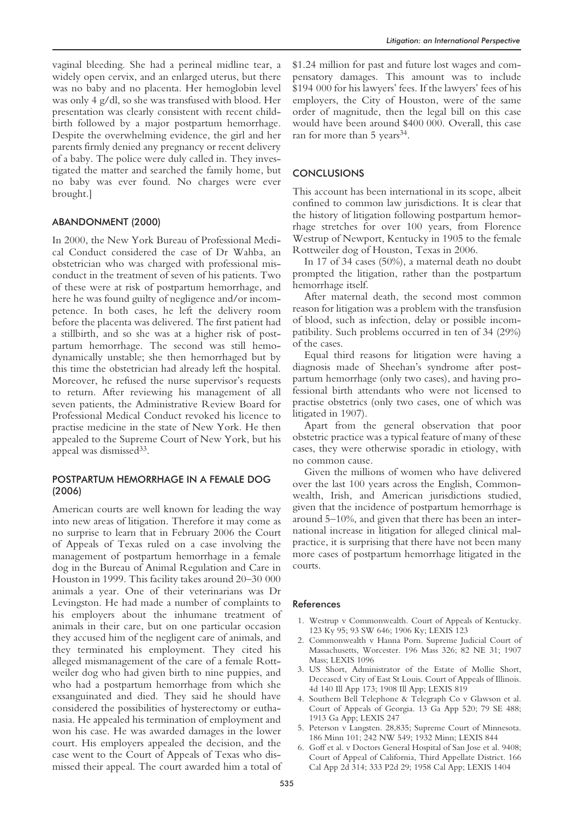vaginal bleeding. She had a perineal midline tear, a widely open cervix, and an enlarged uterus, but there was no baby and no placenta. Her hemoglobin level was only 4 g/dl, so she was transfused with blood. Her presentation was clearly consistent with recent childbirth followed by a major postpartum hemorrhage. Despite the overwhelming evidence, the girl and her parents firmly denied any pregnancy or recent delivery of a baby. The police were duly called in. They investigated the matter and searched the family home, but no baby was ever found. No charges were ever brought.]

#### ABANDONMENT (2000)

In 2000, the New York Bureau of Professional Medical Conduct considered the case of Dr Wahba, an obstetrician who was charged with professional misconduct in the treatment of seven of his patients. Two of these were at risk of postpartum hemorrhage, and here he was found guilty of negligence and/or incompetence. In both cases, he left the delivery room before the placenta was delivered. The first patient had a stillbirth, and so she was at a higher risk of postpartum hemorrhage. The second was still hemodynamically unstable; she then hemorrhaged but by this time the obstetrician had already left the hospital. Moreover, he refused the nurse supervisor's requests to return. After reviewing his management of all seven patients, the Administrative Review Board for Professional Medical Conduct revoked his licence to practise medicine in the state of New York. He then appealed to the Supreme Court of New York, but his appeal was dismissed33.

# POSTPARTUM HEMORRHAGE IN A FEMALE DOG (2006)

American courts are well known for leading the way into new areas of litigation. Therefore it may come as no surprise to learn that in February 2006 the Court of Appeals of Texas ruled on a case involving the management of postpartum hemorrhage in a female dog in the Bureau of Animal Regulation and Care in Houston in 1999. This facility takes around 20–30 000 animals a year. One of their veterinarians was Dr Levingston. He had made a number of complaints to his employers about the inhumane treatment of animals in their care, but on one particular occasion they accused him of the negligent care of animals, and they terminated his employment. They cited his alleged mismanagement of the care of a female Rottweiler dog who had given birth to nine puppies, and who had a postpartum hemorrhage from which she exsanguinated and died. They said he should have considered the possibilities of hysterectomy or euthanasia. He appealed his termination of employment and won his case. He was awarded damages in the lower court. His employers appealed the decision, and the case went to the Court of Appeals of Texas who dismissed their appeal. The court awarded him a total of

\$1.24 million for past and future lost wages and compensatory damages. This amount was to include \$194 000 for his lawyers' fees. If the lawyers' fees of his employers, the City of Houston, were of the same order of magnitude, then the legal bill on this case would have been around \$400 000. Overall, this case ran for more than 5 years<sup>34</sup>.

## **CONCLUSIONS**

This account has been international in its scope, albeit confined to common law jurisdictions. It is clear that the history of litigation following postpartum hemorrhage stretches for over 100 years, from Florence Westrup of Newport, Kentucky in 1905 to the female Rottweiler dog of Houston, Texas in 2006.

In 17 of 34 cases (50%), a maternal death no doubt prompted the litigation, rather than the postpartum hemorrhage itself.

After maternal death, the second most common reason for litigation was a problem with the transfusion of blood, such as infection, delay or possible incompatibility. Such problems occurred in ten of 34 (29%) of the cases.

Equal third reasons for litigation were having a diagnosis made of Sheehan's syndrome after postpartum hemorrhage (only two cases), and having professional birth attendants who were not licensed to practise obstetrics (only two cases, one of which was litigated in 1907).

Apart from the general observation that poor obstetric practice was a typical feature of many of these cases, they were otherwise sporadic in etiology, with no common cause.

Given the millions of women who have delivered over the last 100 years across the English, Commonwealth, Irish, and American jurisdictions studied, given that the incidence of postpartum hemorrhage is around 5–10%, and given that there has been an international increase in litigation for alleged clinical malpractice, it is surprising that there have not been many more cases of postpartum hemorrhage litigated in the courts.

#### References

- 1. Westrup v Commonwealth. Court of Appeals of Kentucky. 123 Ky 95; 93 SW 646; 1906 Ky; LEXIS 123
- 2. Commonwealth v Hanna Porn. Supreme Judicial Court of Massachusetts, Worcester. 196 Mass 326; 82 NE 31; 1907 Mass<sup>+</sup> LEXIS 1096
- 3. US Short, Administrator of the Estate of Mollie Short, Deceased v City of East St Louis. Court of Appeals of Illinois. 4d 140 Ill App 173; 1908 Ill App; LEXIS 819
- 4. Southern Bell Telephone & Telegraph Co v Glawson et al. Court of Appeals of Georgia. 13 Ga App 520; 79 SE 488; 1913 Ga App; LEXIS 247
- 5. Peterson v Langsten. 28,835; Supreme Court of Minnesota. 186 Minn 101; 242 NW 549; 1932 Minn; LEXIS 844
- 6. Goff et al. v Doctors General Hospital of San Jose et al. 9408; Court of Appeal of California, Third Appellate District. 166 Cal App 2d 314; 333 P2d 29; 1958 Cal App; LEXIS 1404